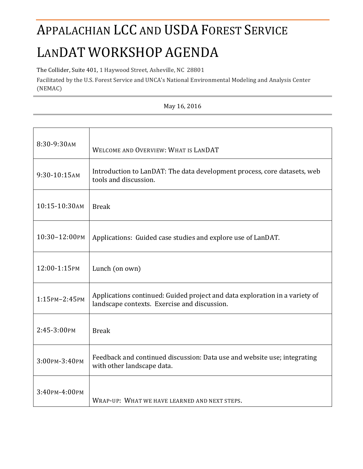# APPALACHIAN LCC AND USDA FOREST SERVICE LANDAT WORKSHOP AGENDA

The Collider, Suite 401, 1 Haywood Street, Asheville, NC 28801

Facilitated by the U.S. Forest Service and UNCA's National Environmental Modeling and Analysis Center (NEMAC)

| 8:30-9:30AM   | WELCOME AND OVERVIEW: WHAT IS LANDAT                                                                                        |
|---------------|-----------------------------------------------------------------------------------------------------------------------------|
| 9:30-10:15AM  | Introduction to LanDAT: The data development process, core datasets, web<br>tools and discussion.                           |
| 10:15-10:30AM | <b>Break</b>                                                                                                                |
| 10:30-12:00PM | Applications: Guided case studies and explore use of LanDAT.                                                                |
| 12:00-1:15PM  | Lunch (on own)                                                                                                              |
| 1:15PM-2:45PM | Applications continued: Guided project and data exploration in a variety of<br>landscape contexts. Exercise and discussion. |
| 2:45-3:00PM   | <b>Break</b>                                                                                                                |
| 3:00рм-3:40рм | Feedback and continued discussion: Data use and website use; integrating<br>with other landscape data.                      |
| 3:40рм-4:00рм | WRAP-UP: WHAT WE HAVE LEARNED AND NEXT STEPS.                                                                               |